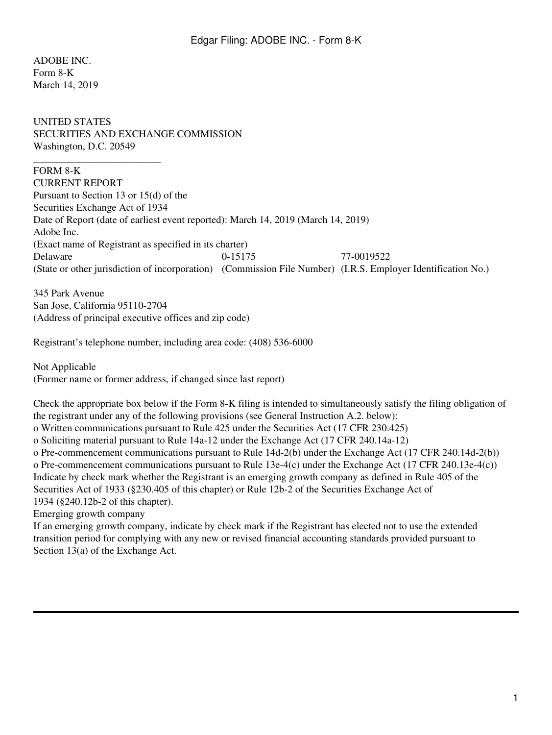ADOBE INC. Form 8-K March 14, 2019

UNITED STATES SECURITIES AND EXCHANGE COMMISSION Washington, D.C. 20549

FORM 8-K

\_\_\_\_\_\_\_\_\_\_\_\_\_\_\_\_\_\_\_\_\_\_\_\_\_

CURRENT REPORT Pursuant to Section 13 or 15(d) of the Securities Exchange Act of 1934 Date of Report (date of earliest event reported): March 14, 2019 (March 14, 2019) Adobe Inc. (Exact name of Registrant as specified in its charter) Delaware 0-15175 77-0019522 (State or other jurisdiction of incorporation) (Commission File Number) (I.R.S. Employer Identification No.)

345 Park Avenue San Jose, California 95110-2704 (Address of principal executive offices and zip code)

Registrant's telephone number, including area code: (408) 536-6000

Not Applicable (Former name or former address, if changed since last report)

Check the appropriate box below if the Form 8-K filing is intended to simultaneously satisfy the filing obligation of the registrant under any of the following provisions (see General Instruction A.2. below): o Written communications pursuant to Rule 425 under the Securities Act (17 CFR 230.425) o Soliciting material pursuant to Rule 14a-12 under the Exchange Act (17 CFR 240.14a-12) o Pre-commencement communications pursuant to Rule 14d-2(b) under the Exchange Act (17 CFR 240.14d-2(b)) o Pre-commencement communications pursuant to Rule 13e-4(c) under the Exchange Act (17 CFR 240.13e-4(c)) Indicate by check mark whether the Registrant is an emerging growth company as defined in Rule 405 of the Securities Act of 1933 (§230.405 of this chapter) or Rule 12b-2 of the Securities Exchange Act of 1934 (§240.12b-2 of this chapter). Emerging growth company

If an emerging growth company, indicate by check mark if the Registrant has elected not to use the extended transition period for complying with any new or revised financial accounting standards provided pursuant to Section  $13(a)$  of the Exchange Act.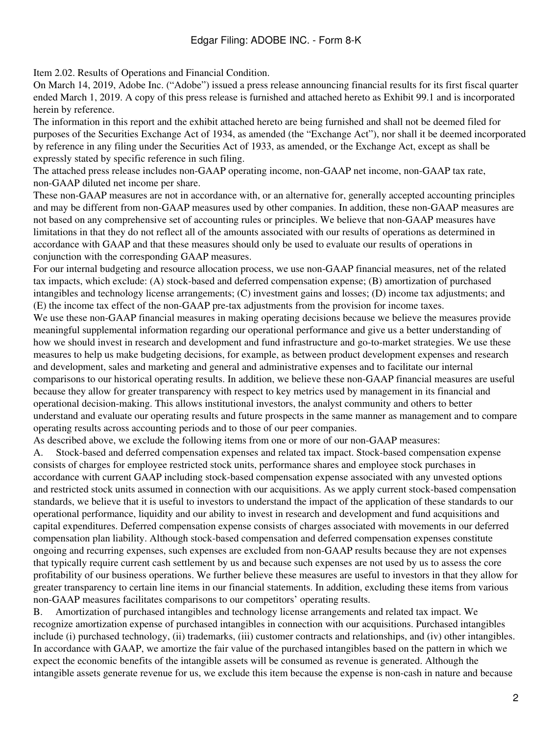Item 2.02. Results of Operations and Financial Condition.

On March 14, 2019, Adobe Inc. ("Adobe") issued a press release announcing financial results for its first fiscal quarter ended March 1, 2019. A copy of this press release is furnished and attached hereto as Exhibit 99.1 and is incorporated herein by reference.

The information in this report and the exhibit attached hereto are being furnished and shall not be deemed filed for purposes of the Securities Exchange Act of 1934, as amended (the "Exchange Act"), nor shall it be deemed incorporated by reference in any filing under the Securities Act of 1933, as amended, or the Exchange Act, except as shall be expressly stated by specific reference in such filing.

The attached press release includes non-GAAP operating income, non-GAAP net income, non-GAAP tax rate, non-GAAP diluted net income per share.

These non-GAAP measures are not in accordance with, or an alternative for, generally accepted accounting principles and may be different from non-GAAP measures used by other companies. In addition, these non-GAAP measures are not based on any comprehensive set of accounting rules or principles. We believe that non-GAAP measures have limitations in that they do not reflect all of the amounts associated with our results of operations as determined in accordance with GAAP and that these measures should only be used to evaluate our results of operations in conjunction with the corresponding GAAP measures.

For our internal budgeting and resource allocation process, we use non-GAAP financial measures, net of the related tax impacts, which exclude: (A) stock-based and deferred compensation expense; (B) amortization of purchased intangibles and technology license arrangements; (C) investment gains and losses; (D) income tax adjustments; and (E) the income tax effect of the non-GAAP pre-tax adjustments from the provision for income taxes.

We use these non-GAAP financial measures in making operating decisions because we believe the measures provide meaningful supplemental information regarding our operational performance and give us a better understanding of how we should invest in research and development and fund infrastructure and go-to-market strategies. We use these measures to help us make budgeting decisions, for example, as between product development expenses and research and development, sales and marketing and general and administrative expenses and to facilitate our internal comparisons to our historical operating results. In addition, we believe these non-GAAP financial measures are useful because they allow for greater transparency with respect to key metrics used by management in its financial and operational decision-making. This allows institutional investors, the analyst community and others to better understand and evaluate our operating results and future prospects in the same manner as management and to compare operating results across accounting periods and to those of our peer companies.

As described above, we exclude the following items from one or more of our non-GAAP measures:

A. Stock-based and deferred compensation expenses and related tax impact. Stock-based compensation expense consists of charges for employee restricted stock units, performance shares and employee stock purchases in accordance with current GAAP including stock-based compensation expense associated with any unvested options and restricted stock units assumed in connection with our acquisitions. As we apply current stock-based compensation standards, we believe that it is useful to investors to understand the impact of the application of these standards to our operational performance, liquidity and our ability to invest in research and development and fund acquisitions and capital expenditures. Deferred compensation expense consists of charges associated with movements in our deferred compensation plan liability. Although stock-based compensation and deferred compensation expenses constitute ongoing and recurring expenses, such expenses are excluded from non-GAAP results because they are not expenses that typically require current cash settlement by us and because such expenses are not used by us to assess the core profitability of our business operations. We further believe these measures are useful to investors in that they allow for greater transparency to certain line items in our financial statements. In addition, excluding these items from various non-GAAP measures facilitates comparisons to our competitors' operating results.

B. Amortization of purchased intangibles and technology license arrangements and related tax impact. We recognize amortization expense of purchased intangibles in connection with our acquisitions. Purchased intangibles include (i) purchased technology, (ii) trademarks, (iii) customer contracts and relationships, and (iv) other intangibles. In accordance with GAAP, we amortize the fair value of the purchased intangibles based on the pattern in which we expect the economic benefits of the intangible assets will be consumed as revenue is generated. Although the intangible assets generate revenue for us, we exclude this item because the expense is non-cash in nature and because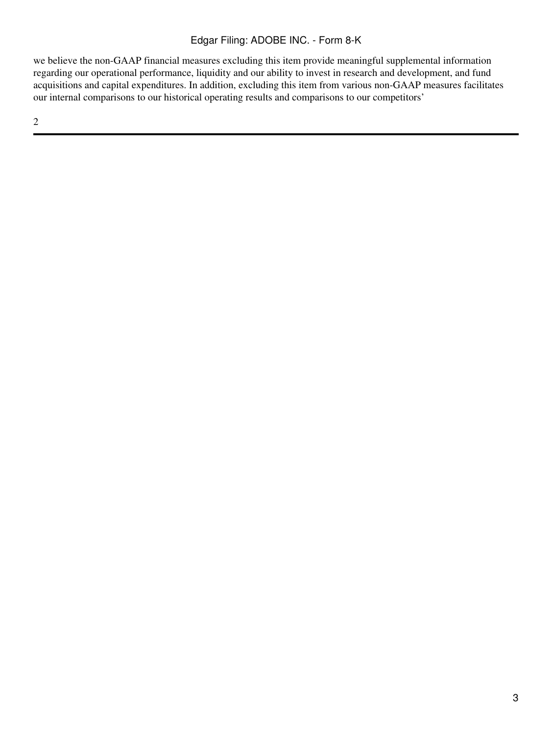## Edgar Filing: ADOBE INC. - Form 8-K

we believe the non-GAAP financial measures excluding this item provide meaningful supplemental information regarding our operational performance, liquidity and our ability to invest in research and development, and fund acquisitions and capital expenditures. In addition, excluding this item from various non-GAAP measures facilitates our internal comparisons to our historical operating results and comparisons to our competitors'

2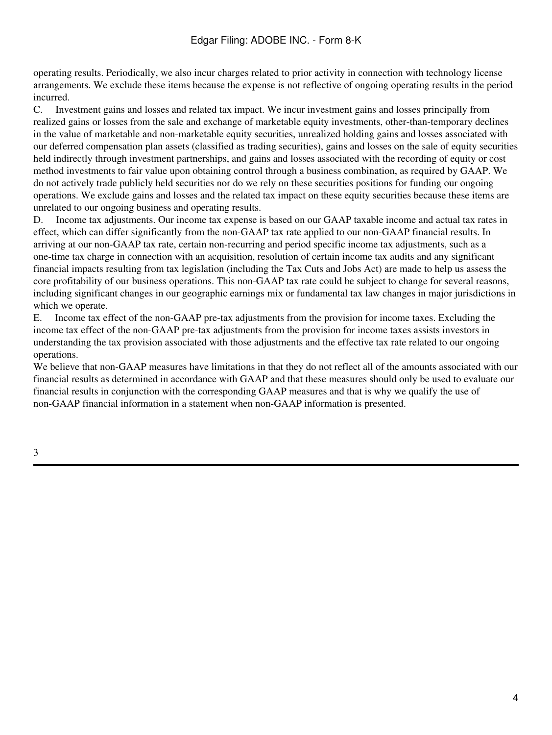operating results. Periodically, we also incur charges related to prior activity in connection with technology license arrangements. We exclude these items because the expense is not reflective of ongoing operating results in the period incurred.

C. Investment gains and losses and related tax impact. We incur investment gains and losses principally from realized gains or losses from the sale and exchange of marketable equity investments, other-than-temporary declines in the value of marketable and non-marketable equity securities, unrealized holding gains and losses associated with our deferred compensation plan assets (classified as trading securities), gains and losses on the sale of equity securities held indirectly through investment partnerships, and gains and losses associated with the recording of equity or cost method investments to fair value upon obtaining control through a business combination, as required by GAAP. We do not actively trade publicly held securities nor do we rely on these securities positions for funding our ongoing operations. We exclude gains and losses and the related tax impact on these equity securities because these items are unrelated to our ongoing business and operating results.

D. Income tax adjustments. Our income tax expense is based on our GAAP taxable income and actual tax rates in effect, which can differ significantly from the non-GAAP tax rate applied to our non-GAAP financial results. In arriving at our non-GAAP tax rate, certain non-recurring and period specific income tax adjustments, such as a one-time tax charge in connection with an acquisition, resolution of certain income tax audits and any significant financial impacts resulting from tax legislation (including the Tax Cuts and Jobs Act) are made to help us assess the core profitability of our business operations. This non-GAAP tax rate could be subject to change for several reasons, including significant changes in our geographic earnings mix or fundamental tax law changes in major jurisdictions in which we operate.

E. Income tax effect of the non-GAAP pre-tax adjustments from the provision for income taxes. Excluding the income tax effect of the non-GAAP pre-tax adjustments from the provision for income taxes assists investors in understanding the tax provision associated with those adjustments and the effective tax rate related to our ongoing operations.

We believe that non-GAAP measures have limitations in that they do not reflect all of the amounts associated with our financial results as determined in accordance with GAAP and that these measures should only be used to evaluate our financial results in conjunction with the corresponding GAAP measures and that is why we qualify the use of non-GAAP financial information in a statement when non-GAAP information is presented.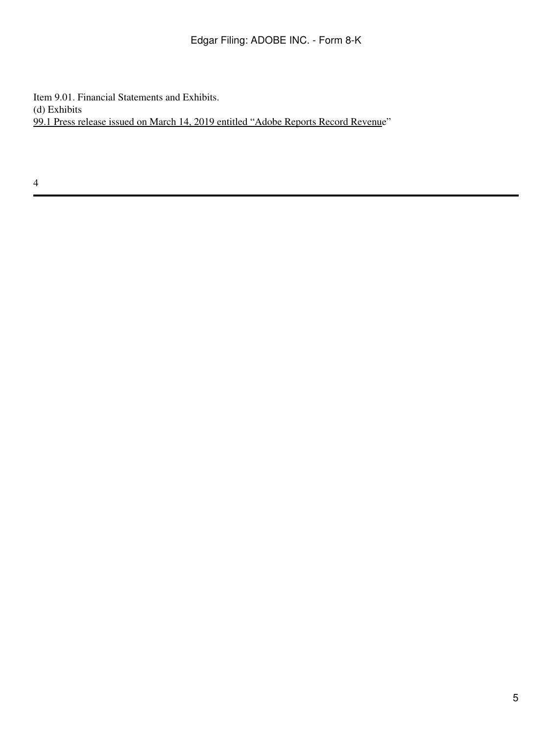Item 9.01. Financial Statements and Exhibits. (d) Exhibits 99.1 Press release issued on March 14, 2019 entitled "Adobe Reports Record Revenue"